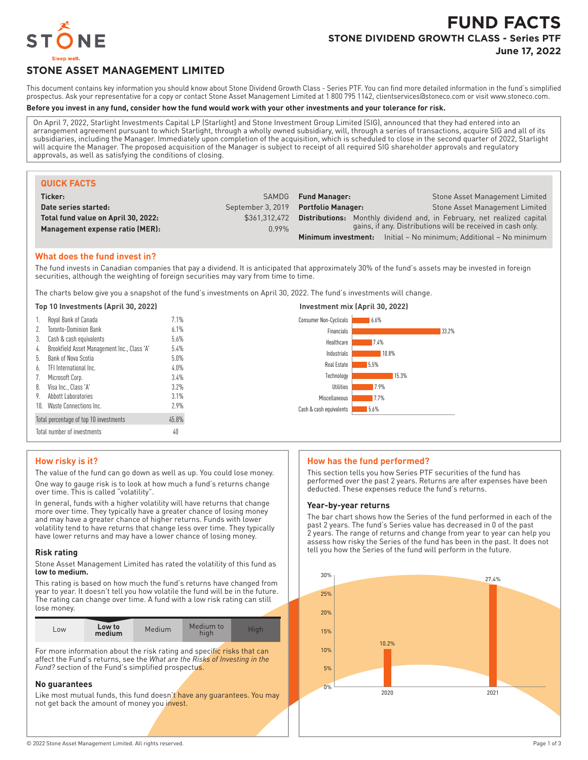

# **FUND FACTS STONE DIVIDEND GROWTH CLASS - Series PTF**

**June 17, 2022**

# **STONE ASSET MANAGEMENT LIMITED**

This document contains key information you should know about Stone Dividend Growth Class - Series PTF. You can find more detailed information in the fund's simplified prospectus. Ask your representative for a copy or contact Stone Asset Management Limited at 1 800 795 1142, clientservices@stoneco.com or visit www.stoneco.com.

#### **Before you invest in any fund, consider how the fund would work with your other investments and your tolerance for risk.**

On April 7, 2022, Starlight Investments Capital LP (Starlight) and Stone Investment Group Limited (SIG), announced that they had entered into an arrangement agreement pursuant to which Starlight, through a wholly owned subsidiary, will, through a series of transactions, acquire SIG and all of its subsidiaries, including the Manager. Immediately upon completion of the acquisition, which is scheduled to close in the second quarter of 2022, Starlight will acquire the Manager. The proposed acquisition of the Manager is subject to receipt of all required SIG shareholder approvals and regulatory approvals, as well as satisfying the conditions of closing.

| <b>QUICK FACTS</b>                  |                   |                                                                          |                                                             |
|-------------------------------------|-------------------|--------------------------------------------------------------------------|-------------------------------------------------------------|
| Ticker:                             | <b>SAMDG</b>      | <b>Fund Manager:</b>                                                     | Stone Asset Management Limited                              |
| Date series started:                | September 3, 2019 | <b>Portfolio Manager:</b>                                                | Stone Asset Management Limited                              |
| Total fund value on April 30, 2022: | \$361.312.472     | Distributions:                                                           | Monthly dividend and, in February, net realized capital     |
| Management expense ratio (MER):     | 0.99%             |                                                                          | gains, if any. Distributions will be received in cash only. |
|                                     |                   | <b>Minimum investment:</b> Initial – No minimum; Additional – No minimum |                                                             |

# **What does the fund invest in?**

The fund invests in Canadian companies that pay a dividend. It is anticipated that approximately 30% of the fund's assets may be invested in foreign securities, although the weighting of foreign securities may vary from time to time.

The charts below give you a snapshot of the fund's investments on April 30, 2022. The fund's investments will change.

| Top 10 Investments (April 30, 2022)               |         | Investment mix (April 30, 2022) |
|---------------------------------------------------|---------|---------------------------------|
| Royal Bank of Canada                              | 7.1%    | 6.6%<br>Consumer Non-Cyclicals  |
| <b>Toronto-Dominion Bank</b>                      | 6.1%    | 33.2%<br>Financials             |
| Cash & cash equivalents<br>3.                     | $5.6\%$ | Healthcare<br>17.4%             |
| Brookfield Asset Management Inc., Class 'A'<br>4. | 5.4%    | Industrials<br>10.8%            |
| Bank of Nova Scotia<br>b.                         | $5.0\%$ | Real Estate                     |
| TFI International Inc.<br>6.                      | $4.0\%$ | 5.5%                            |
| Microsoft Corp.                                   | 3.4%    | Technology<br>15.3%             |
| Visa Inc., Class 'A'<br>8.                        | 3.2%    | Utilities<br>7.9%               |
| Abbott Laboratories<br>9.                         | 3.1%    | 7.7%<br>Miscellaneous           |
| 10. Waste Connections Inc.                        | 2.9%    | 5.6%<br>Cash & cash equivalents |
| Total percentage of top 10 investments            | 45.8%   |                                 |
| Total number of investments                       | 40      |                                 |

# **How risky is it?**

The value of the fund can go down as well as up. You could lose money.

One way to gauge risk is to look at how much a fund's returns change over time. This is called "volatility".

In general, funds with a higher volatility will have returns that change more over time. They typically have a greater chance of losing money and may have a greater chance of higher returns. Funds with lower volatility tend to have returns that change less over time. They typically have lower returns and may have a lower chance of losing money.

# **Risk rating**

Stone Asset Management Limited has rated the volatility of this fund as **low to medium.**

This rating is based on how much the fund's returns have changed from year to year. It doesn't tell you how volatile the fund will be in the future. The rating can change over time. A fund with a low risk rating can still lose money.

| Medium to<br>Low to<br>Medium<br>Hiah<br>LOW<br>hiah<br>medium |  |  |  |  |  |
|----------------------------------------------------------------|--|--|--|--|--|
|----------------------------------------------------------------|--|--|--|--|--|

For more information about the risk rating and specific risks that can affect the Fund's returns, see the *What are the Risks of Investing in the Fund?* section of the Fund's simplified prospectus.

# **No guarantees**

Like most mutual funds, this fund doesn't have any guarantees. You may not get back the amount of money you invest.

# **How has the fund performed?**

This section tells you how Series PTF securities of the fund has performed over the past 2 years. Returns are after expenses have been deducted. These expenses reduce the fund's returns.

#### **Year-by-year returns**

The bar chart shows how the Series of the fund performed in each of the past 2 years. The fund's Series value has decreased in 0 of the past 2 years. The range of returns and change from year to year can help you assess how risky the Series of the fund has been in the past. It does not tell you how the Series of the fund will perform in the future.

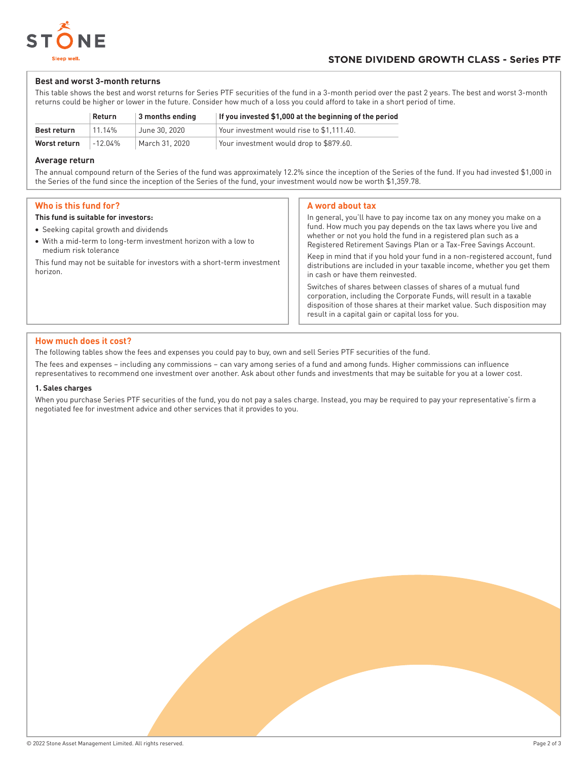

# **Best and worst 3-month returns**

This table shows the best and worst returns for Series PTF securities of the fund in a 3-month period over the past 2 years. The best and worst 3-month returns could be higher or lower in the future. Consider how much of a loss you could afford to take in a short period of time.

|              | Return  | $\vert$ 3 months ending | If you invested \$1,000 at the beginning of the period |
|--------------|---------|-------------------------|--------------------------------------------------------|
| Best return  | 11.14%  | June 30, 2020           | Your investment would rise to \$1.111.40.              |
| Worst return | -12.04% | March 31. 2020          | Your investment would drop to \$879.60.                |

# **Average return**

The annual compound return of the Series of the fund was approximately 12.2% since the inception of the Series of the fund. If you had invested \$1,000 in the Series of the fund since the inception of the Series of the fund, your investment would now be worth \$1,359.78.

# **Who is this fund for?**

#### **This fund is suitable for investors:**

- Seeking capital growth and dividends
- With a mid-term to long-term investment horizon with a low to medium risk tolerance

This fund may not be suitable for investors with a short-term investment horizon.

# **A word about tax**

In general, you'll have to pay income tax on any money you make on a fund. How much you pay depends on the tax laws where you live and whether or not you hold the fund in a registered plan such as a Registered Retirement Savings Plan or a Tax-Free Savings Account. Keep in mind that if you hold your fund in a non-registered account, fund distributions are included in your taxable income, whether you get them in cash or have them reinvested. Switches of shares between classes of shares of a mutual fund corporation, including the Corporate Funds, will result in a taxable disposition of those shares at their market value. Such disposition may result in a capital gain or capital loss for you.

# **How much does it cost?**

The following tables show the fees and expenses you could pay to buy, own and sell Series PTF securities of the fund.

The fees and expenses – including any commissions – can vary among series of a fund and among funds. Higher commissions can influence representatives to recommend one investment over another. Ask about other funds and investments that may be suitable for you at a lower cost.

# **1. Sales charges**

When you purchase Series PTF securities of the fund, you do not pay a sales charge. Instead, you may be required to pay your representative's firm a negotiated fee for investment advice and other services that it provides to you.